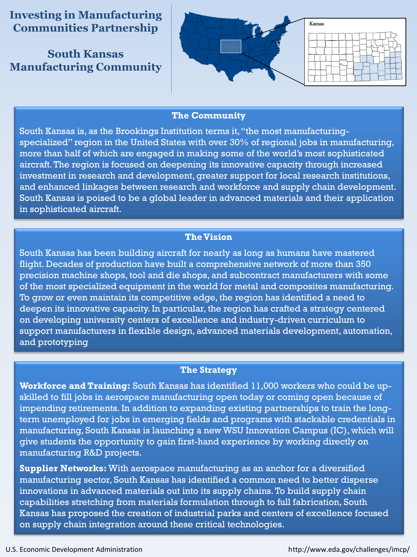**Investing in Manufacturing Communities Partnership**

**South Kansas Manufacturing Community**



#### **The Community**

South Kansas is, as the Brookings Institution terms it, "the most manufacturingspecialized" region in the United States with over 30% of regional jobs in manufacturing, more than half of which are engaged in making some of the world's most sophisticated aircraft. The region is focused on deepening its innovative capacity through increased investment in research and development, greater support for local research institutions, and enhanced linkages between research and workforce and supply chain development. South Kansas is poised to be a global leader in advanced materials and their application in sophisticated aircraft.

## **The Vision**

South Kansas has been building aircraft for nearly as long as humans have mastered flight. Decades of production have built a comprehensive network of more than 350 precision machine shops, tool and die shops, and subcontract manufacturers with some of the most specialized equipment in the world for metal and composites manufacturing. To grow or even maintain its competitive edge, the region has identified a need to deepen its innovative capacity. In particular, the region has crafted a strategy centered on developing university centers of excellence and industry-driven curriculum to support manufacturers in flexible design, advanced materials development, automation, and prototyping

### **The Strategy**

**Workforce and Training:** South Kansas has identified 11,000 workers who could be upskilled to fill jobs in aerospace manufacturing open today or coming open because of impending retirements. In addition to expanding existing partnerships to train the longterm unemployed for jobs in emerging fields and programs with stackable credentials in manufacturing, South Kansas is launching a new WSU Innovation Campus (IC), which will give students the opportunity to gain first-hand experience by working directly on manufacturing R&D projects.

**Supplier Networks:** With aerospace manufacturing as an anchor for a diversified manufacturing sector, South Kansas has identified a common need to better disperse innovations in advanced materials out into its supply chains. To build supply chain capabilities stretching from materials formulation through to full fabrication, South Kansas has proposed the creation of industrial parks and centers of excellence focused on supply chain integration around these critical technologies.